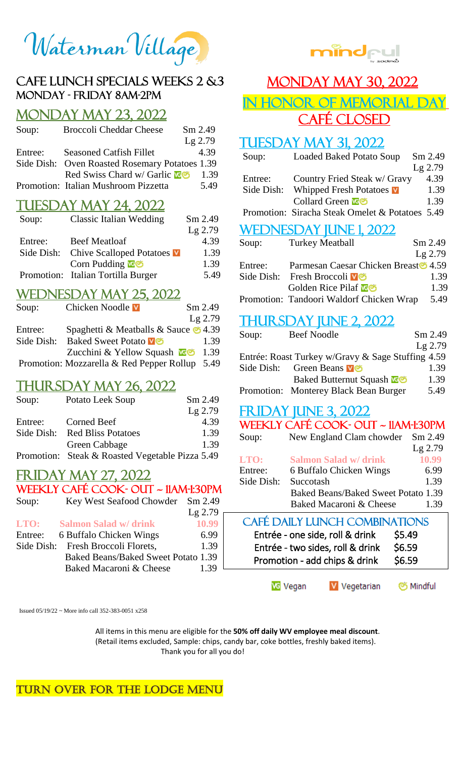Waterman Village

#### Cafe lunch Specials Weeks 2 &3 Monday - Friday 8AM-2PM

## Monday May 23, 2022

| Soup:   | <b>Broccoli Cheddar Cheese</b>                 | Sm 2.49   |
|---------|------------------------------------------------|-----------|
|         |                                                | $Lg$ 2.79 |
| Entree: | <b>Seasoned Catfish Fillet</b>                 | 4.39      |
|         | Side Dish: Oven Roasted Rosemary Potatoes 1.39 |           |
|         | Red Swiss Chard w/ Garlic <b>ve</b>            | 1.39      |
|         | Promotion: Italian Mushroom Pizzetta           | 5.49      |

#### **TUESDAY MAY 24, 2022**

| Soup:   | <b>Classic Italian Wedding</b>      | Sm 2.49   |
|---------|-------------------------------------|-----------|
|         |                                     | $Lg$ 2.79 |
| Entree: | <b>Beef Meatloaf</b>                | 4.39      |
|         | Side Dish: Chive Scalloped Potatoes | 1.39      |
|         | Corn Pudding <b>N</b> o             | 1.39      |
|         | Promotion: Italian Tortilla Burger  | 5.49      |

#### Wednesday May 25, 2022

| Soup:      | Chicken Noodle V                               | Sm 2.49   |
|------------|------------------------------------------------|-----------|
|            |                                                | $Lg$ 2.79 |
| Entree:    | Spaghetti & Meatballs & Sauce $\bullet$ 4.39   |           |
| Side Dish: | <b>Baked Sweet Potato v</b> <sup>o</sup>       | 1.39      |
|            | Zucchini & Yellow Squash                       | 1.39      |
|            | Promotion: Mozzarella & Red Pepper Rollup 5.49 |           |

#### Thursday May 26, 2022

| Soup:   | Potato Leek Soup                                | $Sm$ 2.49 |
|---------|-------------------------------------------------|-----------|
|         |                                                 | $Lg$ 2.79 |
| Entree: | Corned Beef                                     | 4.39      |
|         | Side Dish: Red Bliss Potatoes                   | 1.39      |
|         | Green Cabbage                                   | 1.39      |
|         | Promotion: Steak & Roasted Vegetable Pizza 5.49 |           |

#### Friday May 27, 2022

#### Weekly Café cook- out ~ 11am-1:30pm Soup: Key West Seafood Chowder Sm 2.49

|         |                                     | $Lg$ 2.79 |
|---------|-------------------------------------|-----------|
| LTO:    | <b>Salmon Salad w/ drink</b>        | 10.99     |
| Entree: | 6 Buffalo Chicken Wings             | 6.99      |
|         | Side Dish: Fresh Broccoli Florets,  | 1.39      |
|         | Baked Beans/Baked Sweet Potato 1.39 |           |
|         | Baked Macaroni & Cheese             | 1.39      |

Issued 05/19/22 ~ More info call 352-383-0051 x258 J.

> All items in this menu are eligible for the **50% off daily WV employee meal discount**. (Retail items excluded, Sample: chips, candy bar, coke bottles, freshly baked items). Thank you for all you do!

Turn over for THE LODGE Menu



# **MONDAY MAY 30, 2022**

IN HONOR OF MEMORIAL DAY CAFÉ CLOSED

#### **TUESDAY MAY 31, 2022.**

| Soup:      | <b>Loaded Baked Potato Soup</b>                 | Sm 2.49   |
|------------|-------------------------------------------------|-----------|
|            |                                                 | $Lg$ 2.79 |
| Entree:    | Country Fried Steak w/ Gravy                    | 4.39      |
| Side Dish: | Whipped Fresh Potatoes <b>V</b>                 | 1.39      |
|            | Collard Green <b>News</b>                       | 1.39      |
|            | Promotion: Siracha Steak Omelet & Potatoes 5.49 |           |
|            | <b>WEDNESDAY JUNE 1, 2022</b>                   |           |
| Soup:      | <b>Turkey Meatball</b>                          | Sm 2.49   |
|            |                                                 | $Lg$ 2.79 |
| Entree:    | Parmesan Caesar Chicken Breast 6 4.59           |           |
| Side Dish: | Fresh Broccoli <b>V</b> S                       | 1.39      |
|            | Golden Rice Pilaf <b>NE</b>                     | 1.39      |
|            |                                                 |           |

## Promotion: Tandoori Waldorf Chicken Wrap 5.49

#### THURSDAY JUNE 2, 2022

| Soup: | <b>Beef Noodle</b>                                | $Sm$ 2.49 |
|-------|---------------------------------------------------|-----------|
|       |                                                   | $Lg$ 2.79 |
|       | Entrée: Roast Turkey w/Gravy & Sage Stuffing 4.59 |           |
|       | Side Dish: Green Beans v                          | 1.39      |
|       | <b>Baked Butternut Squash Leon</b>                | 1.39      |
|       | Promotion: Monterey Black Bean Burger             | 5.49      |

## <u>FRIDAY JUNE 3, 2022</u>

| WEEKLY CAFÉ COOK- OUT ~ 11AM-1:30PM             |                                            |         |
|-------------------------------------------------|--------------------------------------------|---------|
| Soup:                                           | New England Clam chowder                   | Sm 2.49 |
|                                                 |                                            | Lg 2.79 |
| LTO:                                            | <b>Salmon Salad w/ drink</b>               | 10.99   |
| Entree:                                         | 6 Buffalo Chicken Wings                    | 6.99    |
| Side Dish:                                      | Succotash                                  | 1.39    |
|                                                 | <b>Baked Beans/Baked Sweet Potato 1.39</b> |         |
|                                                 | Baked Macaroni & Cheese                    | 1.39    |
| <b>CAFÉ DAILY LUNCH COMBINATIONS</b>            |                                            |         |
| Entrée - one side, roll & drink<br><b>S5.49</b> |                                            |         |

| Entrée - two sides, roll & drink | ----<br>\$6.59 |  |
|----------------------------------|----------------|--|
| Promotion - add chips & drink    | \$6.59         |  |
|                                  |                |  |

**VG** Vegan V Vegetarian S Mindful